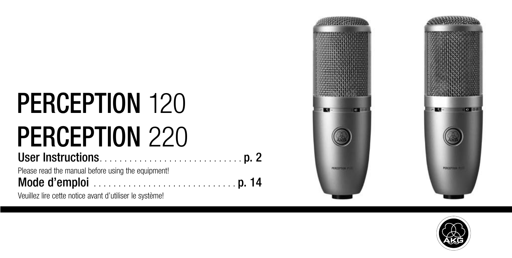# PERCEPTION 120 PERCEPTION 220

# User Instructions............................. p. 2

Please read the manual before using the equipment!

Mode d'emploi ............................. p. 14

Veuillez lire cette notice avant d'utiliser le système!





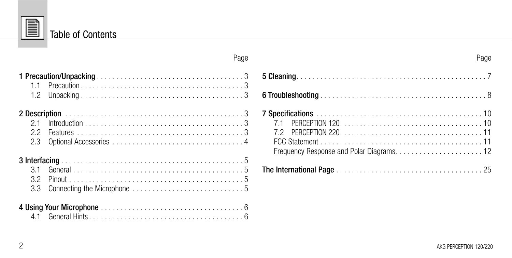

# Table of Contents

| 21<br>2.2<br>2.3  |  |
|-------------------|--|
| 3.1<br>3.2<br>3.3 |  |
|                   |  |

Page

| Page |
|------|
|      |
|      |
|      |
|      |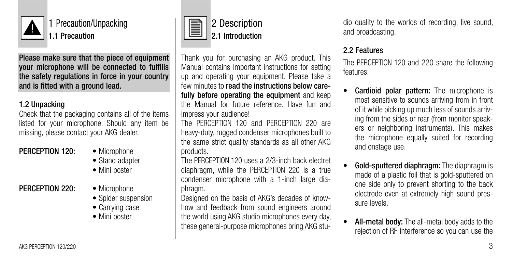

1 Precaution/Unpacking 1.1 Precaution

Please make sure that the piece of equipment your microphone will be connected to fulfills the safety regulations in force in your country and is fitted with a ground lead.

#### 1.2 Unpacking

Check that the packaging contains all of the items listed for your microphone. Should any item be missing, please contact your AKG dealer.

## PERCEPTION 120: • Microphone

- 
- Stand adapter
- Mini poster

## PERCEPTION 220: • Microphone

- - Spider suspension
	- Carrying case
	- Mini poster



Thank you for purchasing an AKG product. This Manual contains important instructions for setting up and operating your equipment. Please take a few minutes to read the instructions below carefully before operating the equipment and keep the Manual for future reference. Have fun and impress your audience!

The PERCEPTION 120 and PERCEPTION 220 are heavy-duty, rugged condenser microphones built to the same strict quality standards as all other AKG products.

The PERCEPTION 120 uses a 2/3-inch back electret diaphragm, while the PERCEPTION 220 is a true condenser microphone with a 1-inch large diaphragm.

Designed on the basis of AKG's decades of knowhow and feedback from sound engineers around the world using AKG studio microphones every day, these general-purpose microphones bring AKG studio quality to the worlds of recording, live sound, and broadcasting.

#### 2.2 Features

The PERCEPTION 120 and 220 share the following features:

- **Cardioid polar pattern:** The microphone is most sensitive to sounds arriving from in front of it while picking up much less of sounds arriving from the sides or rear (from monitor speakers or neighboring instruments). This makes the microphone equally suited for recording and onstage use.
- Gold-sputtered diaphragm: The diaphragm is made of a plastic foil that is gold-sputtered on one side only to prevent shorting to the back electrode even at extremely high sound pressure levels.
- All-metal body: The all-metal body adds to the rejection of RF interference so you can use the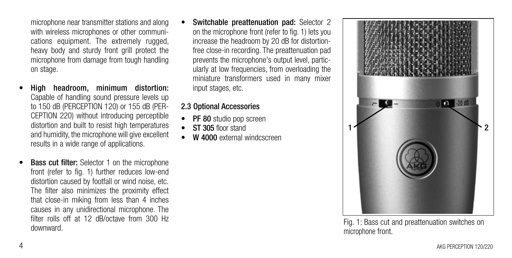microphone near transmitter stations and along with wireless microphones or other communications equipment. The extremely rugged, heavy body and sturdy front grill protect the microphone from damage from tough handling on stage.

- High headroom, minimum distortion: Capable of handling sound pressure levels up to 150 dB (PERCEPTION 120) or 155 dB (PER-CEPTION 220) without introducing perceptible distortion and built to resist high temperatures and humidity, the microphone will give excellent results in a wide range of applications.
- **Bass cut filter:** Selector 1 on the microphone front (refer to fig. 1) further reduces low-end distortion caused by footfall or wind noise, etc. The filter also minimizes the proximity effect that close-in miking from less than 4 inches causes in any unidirectional microphone. The filter rolls off at 12 dB/octave from 300 Hz downward.

Switchable preattenuation pad: Selector 2 on the microphone front (refer to fig. 1) lets you increase the headroom by 20 dB for distortionfree close-in recording. The preattenuation pad prevents the microphone's output level, particularly at low frequencies, from overloading the miniature transformers used in many mixer input stages, etc.

#### 2.3 Optional Accessories

- **PF 80** studio pop screen
- ST 305 floor stand
- W 4000 external windcscreen



Fig. 1: Bass cut and preattenuation switches on microphone front.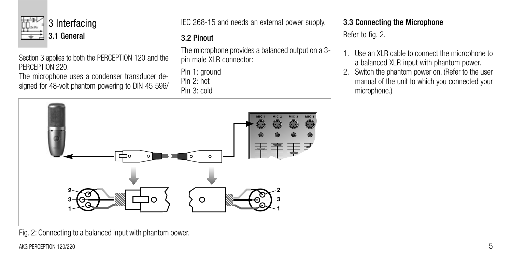

Section 3 applies to both the PERCEPTION 120 and the PERCEPTION 220

The microphone uses a condenser transducer designed for 48-volt phantom powering to DIN 45 596/ IEC 268-15 and needs an external power supply.

### 3.2 Pinout

The microphone provides a balanced output on a 3 pin male XLR connector:

Pin 1: ground Pin 2: hot Pin 3: cold



Refer to fig. 2.

- 1. Use an XLR cable to connect the microphone to a balanced XLR input with phantom power.
- 2. Switch the phantom power on. (Refer to the user manual of the unit to which you connected your microphone.)



AKG PERCEPTION 120/220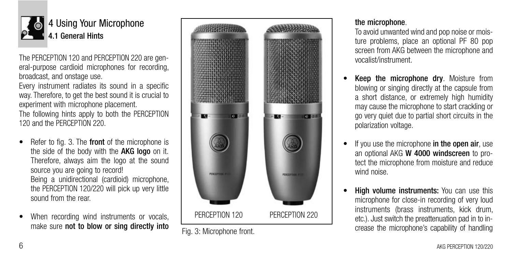

# 4 Using Your Microphone 4.1 General Hints

The PERCEPTION 120 and PERCEPTION 220 are general-purpose cardioid microphones for recording, broadcast, and onstage use.

Every instrument radiates its sound in a specific way. Therefore, to get the best sound it is crucial to experiment with microphone placement. The following hints apply to both the PERCEPTION 120 and the PERCEPTION 220.

- Refer to fig. 3. The front of the microphone is the side of the body with the AKG logo on it. Therefore, always aim the logo at the sound source you are going to record! Being a unidirectional (cardioid) microphone, the PERCEPTION 120/220 will pick up very little sound from the rear.
- When recording wind instruments or vocals, make sure not to blow or sing directly into



#### the microphone.

To avoid unwanted wind and pop noise or moisture problems, place an optional PF 80 pop screen from AKG between the microphone and vocalist/instrument.

- **Keep the microphone dry.** Moisture from blowing or singing directly at the capsule from a short distance, or extremely high humidity may cause the microphone to start crackling or go very quiet due to partial short circuits in the polarization voltage.
- If you use the microphone in the open air, use an optional AKG W 4000 windscreen to protect the microphone from moisture and reduce wind noise.
- **High volume instruments:** You can use this microphone for close-in recording of very loud instruments (brass instruments, kick drum, etc.). Just switch the preattenuation pad in to increase the microphone's capability of handling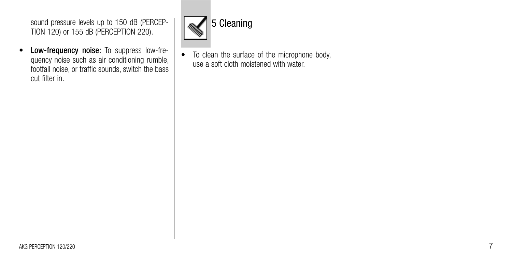sound pressure levels up to 150 dB (PERCEP-TION 120) or 155 dB (PERCEPTION 220).

• Low-frequency noise: To suppress low-frequency noise such as air conditioning rumble, footfall noise, or traffic sounds, switch the bass cut filter in.



• To clean the surface of the microphone body, use a soft cloth moistened with water.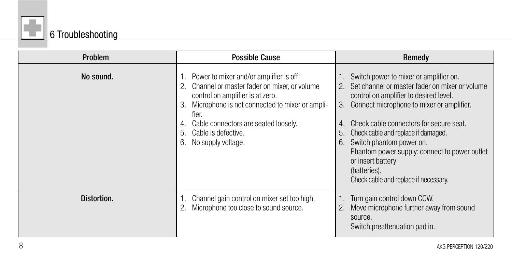

# **6 Troubleshooting**

| Problem     | <b>Possible Cause</b>                                                                                                                                                                                                                                                                              | Remedy                                                                                                                                                                                                                                                                                                                                                                                                                                               |
|-------------|----------------------------------------------------------------------------------------------------------------------------------------------------------------------------------------------------------------------------------------------------------------------------------------------------|------------------------------------------------------------------------------------------------------------------------------------------------------------------------------------------------------------------------------------------------------------------------------------------------------------------------------------------------------------------------------------------------------------------------------------------------------|
| No sound.   | Power to mixer and/or amplifier is off.<br>Channel or master fader on mixer, or volume<br>control on amplifier is at zero.<br>Microphone is not connected to mixer or ampli-<br>3.<br>fier.<br>Cable connectors are seated loosely.<br>4.<br>Cable is defective.<br>5.<br>No supply voltage.<br>6. | Switch power to mixer or amplifier on.<br>2. Set channel or master fader on mixer or volume<br>control on amplifier to desired level.<br>3. Connect microphone to mixer or amplifier.<br>Check cable connectors for secure seat.<br>4.<br>Check cable and replace if damaged.<br>5.<br>Switch phantom power on.<br>6.<br>Phantom power supply: connect to power outlet<br>or insert battery<br>(batteries).<br>Check cable and replace if necessary. |
| Distortion. | Channel gain control on mixer set too high.<br>Microphone too close to sound source.                                                                                                                                                                                                               | Turn gain control down CCW.<br>Move microphone further away from sound<br>source.<br>Switch preattenuation pad in.                                                                                                                                                                                                                                                                                                                                   |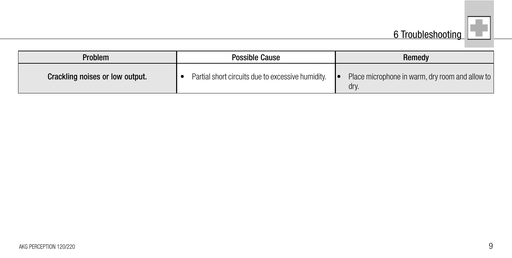

# 6 Troubleshooting

| Problem                         | Possible Cause                                    | Remedy                                                       |
|---------------------------------|---------------------------------------------------|--------------------------------------------------------------|
| Crackling noises or low output. | Partial short circuits due to excessive humidity. | Place microphone in warm, dry room and allow to<br>I۰<br>drv |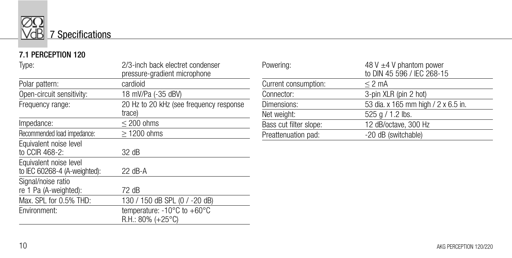

# 7.1 PERCEPTION 120

| Type:                        | 2/3-inch back electret condenser                |
|------------------------------|-------------------------------------------------|
|                              | pressure-gradient microphone                    |
| Polar pattern:               | cardioid                                        |
| Open-circuit sensitivity:    | 18 mV/Pa (-35 dBV)                              |
| Frequency range:             | 20 Hz to 20 kHz (see frequency response         |
|                              | trace)                                          |
| Impedance:                   | $<$ 200 ohms                                    |
| Recommended load impedance:  | $>1200$ ohms                                    |
| Equivalent noise level       |                                                 |
| to CCIR 468-2:               | 32 dB                                           |
| Equivalent noise level       |                                                 |
| to IEC 60268-4 (A-weighted): | $22$ dB-A                                       |
| Signal/noise ratio           |                                                 |
| re 1 Pa (A-weighted):        | 72 dB                                           |
| Max. SPL for 0.5% THD:       | 130 / 150 dB SPL (0 / -20 dB)                   |
| Environment:                 | temperature: -10 $\degree$ C to +60 $\degree$ C |
|                              | $R.H.: 80\% (+25°C)$                            |

| Powering:              | 48 V $\pm$ 4 V phantom power<br>to DIN 45 596 / IEC 268-15 |
|------------------------|------------------------------------------------------------|
| Current consumption:   | $\leq$ 2 mA                                                |
| Connector:             | 3-pin XLR (pin 2 hot)                                      |
| Dimensions:            | 53 dia. x 165 mm high / 2 x 6.5 in.                        |
| Net weight:            | 525 g / 1.2 lbs.                                           |
| Bass cut filter slope: | 12 dB/octave, 300 Hz                                       |
| Preattenuation pad:    | -20 dB (switchable)                                        |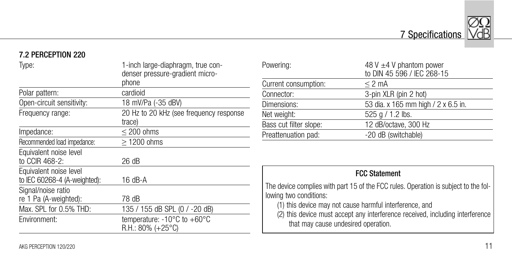7 Specifications

**VGRI** 

### 7.2 PERCEPTION 220

| Type:                        | 1-inch large-diaphragm, true con-                                       |
|------------------------------|-------------------------------------------------------------------------|
|                              | denser pressure-gradient micro-                                         |
|                              | phone                                                                   |
| Polar pattern:               | cardioid                                                                |
| Open-circuit sensitivity:    | 18 mV/Pa (-35 dBV)                                                      |
| Frequency range:             | 20 Hz to 20 kHz (see frequency response<br>trace)                       |
| Impedance:                   | $<$ 200 ohms                                                            |
| Recommended load impedance:  | $>1200$ ohms                                                            |
| Equivalent noise level       |                                                                         |
| to CCIR 468-2:               | 26 dB                                                                   |
| Equivalent noise level       |                                                                         |
| to IEC 60268-4 (A-weighted): | $16$ dB-A                                                               |
| Signal/noise ratio           |                                                                         |
| re 1 Pa (A-weighted):        | 78 dB                                                                   |
| Max. SPL for 0.5% THD:       | 135 / 155 dB SPL (0 / -20 dB)                                           |
| Environment:                 | temperature: -10 $\degree$ C to +60 $\degree$ C<br>$R.H.: 80\% (+25°C)$ |

| Powering:              | 48 V $\pm$ 4 V phantom power<br>to DIN 45 596 / IEC 268-15 |
|------------------------|------------------------------------------------------------|
| Current consumption:   | $<$ 2 mA                                                   |
| Connector:             | 3-pin XLR (pin 2 hot)                                      |
| Dimensions:            | 53 dia. x 165 mm high / 2 x 6.5 in.                        |
| Net weight:            | 525 g / 1.2 lbs.                                           |
| Bass cut filter slope: | 12 dB/octave, 300 Hz                                       |
| Preattenuation pad:    | -20 dB (switchable)                                        |

| <b>FCC Statement</b>                                                                |
|-------------------------------------------------------------------------------------|
| The device complies with part 15 of the FCC rules. Operation is subject to the fol- |
| lowing two conditions:                                                              |
| (1) this device may not cause harmful interference, and                             |
| (2) this device must accept any interference received, including interference       |
| that may cause undesired operation.                                                 |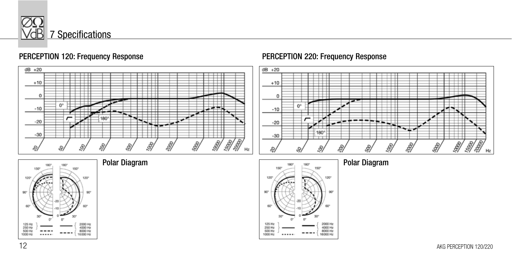

#### PERCEPTION 120: Frequency Response



#### PERCEPTION 220: Frequency Response

AKG PERCEPTION 120/220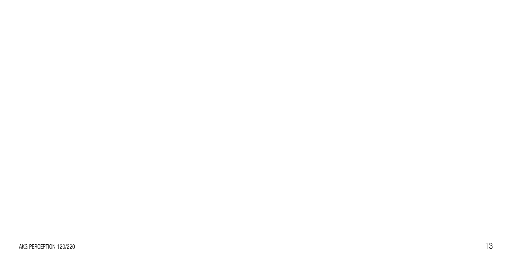#### AKG PERCEPTION 120/220 13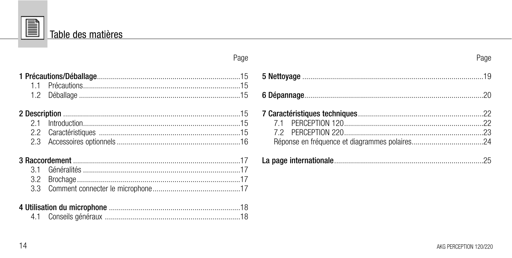

# Table des matières

| 31 |  |
|----|--|
|    |  |
|    |  |
|    |  |
|    |  |

Page

|                    | $\Gamma$ and $\Gamma$ and $\Gamma$ |
|--------------------|------------------------------------|
|                    |                                    |
|                    |                                    |
| 7.2 PERCEPTION 220 |                                    |

|--|

 $D_{000}$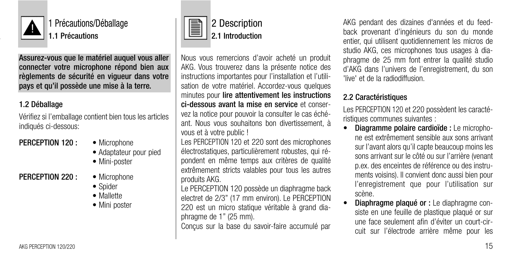

1 Précautions/Déballage 1.1 Précautions

Assurez-vous que le matériel auquel vous aller connecter votre microphone répond bien aux règlements de sécurité en vigueur dans votre pays et qu'il possède une mise à la terre.

#### 1.2 Déballage

Vérifiez si l'emballage contient bien tous les articles indiqués ci-dessous:

#### PERCEPTION 120 : • Microphone

- 
- Adaptateur pour pied
- Mini-poster
- PERCEPTION 220 : Microphone
- - Spider
	- Mallette
	- Mini poster



Nous vous remercions d'avoir acheté un produit AKG. Vous trouverez dans la présente notice des instructions importantes pour l'installation et l'utilisation de votre matériel. Accordez-vous quelques minutes pour lire attentivement les instructions ci-dessous avant la mise en service et conservez la notice pour pouvoir la consulter le cas échéant. Nous vous souhaitons bon divertissement, à vous et à votre public !

Les PERCEPTION 120 et 220 sont des microphones électrostatiques, particulièrement robustes, qui répondent en même temps aux critères de qualité extrêmement stricts valables pour tous les autres produits AKG.

Le PERCEPTION 120 possède un diaphragme back electret de 2/3" (17 mm environ). Le PERCEPTION 220 est un micro statique véritable à grand diaphragme de 1" (25 mm).

Conçus sur la base du savoir-faire accumulé par

AKG pendant des dizaines d'années et du feedback provenant d'ingénieurs du son du monde entier, qui utilisent quotidiennement les micros de studio AKG, ces microphones tous usages à diaphragme de 25 mm font entrer la qualité studio d'AKG dans l'univers de l'enregistrement, du son 'live' et de la radiodiffusion.

#### 2.2 Caractéristiques

Les PERCEPTION 120 et 220 possèdent les caractéristiques communes suivantes :

- Diagramme polaire cardioïde : Le microphone est extrêmement sensible aux sons arrivant sur l'avant alors qu'il capte beaucoup moins les sons arrivant sur le côté ou sur l'arrière (venant p.ex. des enceintes de référence ou des instruments voisins). Il convient donc aussi bien pour l'enregistrement que pour l'utilisation sur scène.
- Diaphragme plaqué or : Le diaphragme consiste en une feuille de plastique plaqué or sur une face seulement afin d'éviter un court-circuit sur l'électrode arrière même pour les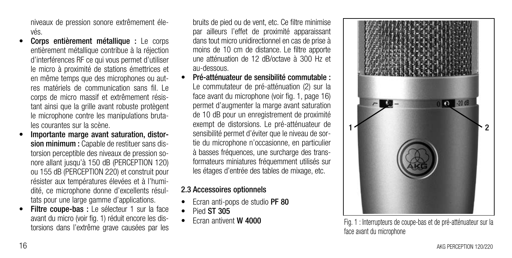niveaux de pression sonore extrêmement élevés.

- Corps entièrement métallique : Le corps entièrement métallique contribue à la réjection d'interférences RF ce qui vous permet d'utiliser le micro à proximité de stations émettrices et en même temps que des microphones ou autres matériels de communication sans fil. Le corps de micro massif et extrêmement résistant ainsi que la grille avant robuste protègent le microphone contre les manipulations brutales courantes sur la scène.
- Importante marge avant saturation, distorsion minimum : Capable de restituer sans distorsion perceptible des niveaux de pression sonore allant jusqu'à 150 dB (PERCEPTION 120) ou 155 dB (PERCEPTION 220) et construit pour résister aux températures élevées et à l'humidité, ce microphone donne d'excellents résultats pour une large gamme d'applications.
- Filtre coupe-bas : Le sélecteur 1 sur la face avant du micro (voir fig. 1) réduit encore les distorsions dans l'extrême grave causées par les

bruits de pied ou de vent, etc. Ce filtre minimise par ailleurs l'effet de proximité apparaissant dans tout micro unidirectionnel en cas de prise à moins de 10 cm de distance. Le filtre apporte une atténuation de 12 dB/octave à 300 Hz et au-dessous.

• Pré-atténuateur de sensibilité commutable : Le commutateur de pré-atténuation (2) sur la face avant du microphone (voir fig. 1, page 16) permet d'augmenter la marge avant saturation de 10 dB pour un enregistrement de proximité exempt de distorsions. Le pré-atténuateur de sensibilité permet d'éviter que le niveau de sortie du microphone n'occasionne, en particulier à basses fréquences, une surcharge des transformateurs miniatures fréquemment utilisés sur les étages d'entrée des tables de mixage, etc.

#### 2.3 Accessoires optionnels

- Ecran anti-pops de studio PF 80
- Pied ST 305
- Ecran antivent W 4000



Fig. 1 : Interrupteurs de coupe-bas et de pré-atténuateur sur la face avant du microphone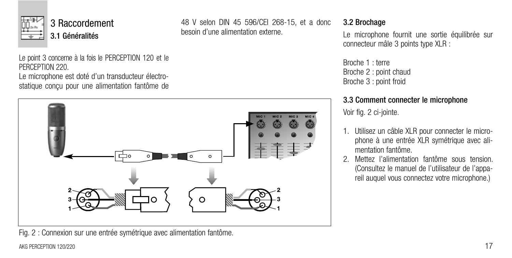

3 Raccordement 3.1 Généralités

48 V selon DIN 45 596/CEI 268-15, et a donc besoin d'une alimentation externe.

Le point 3 concerne à la fois le PERCEPTION 120 et le PERCEPTION 220

Le microphone est doté d'un transducteur électrostatique conçu pour une alimentation fantôme de



AKG PERCEPTION 120/220 Fig. 2 : Connexion sur une entrée symétrique avec alimentation fantôme.

#### 3.2 Brochage

Le microphone fournit une sortie équilibrée sur connecteur mâle 3 points type XLR :

Broche 1 : terre Broche 2 : point chaud Broche 3 : point froid

#### 3.3 Comment connecter le microphone

Voir fig. 2 ci-jointe.

- 1. Utilisez un câble XLR pour connecter le microphone à une entrée XLR symétrique avec alimentation fantôme.
- 2. Mettez l'alimentation fantôme sous tension. (Consultez le manuel de l'utilisateur de l'appareil auquel vous connectez votre microphone.)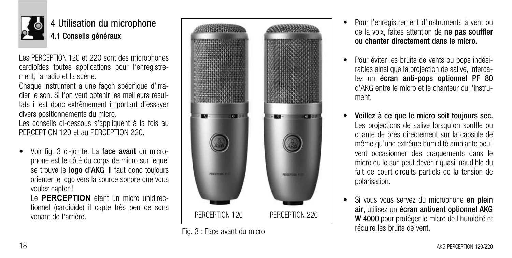

# 4 Utilisation du microphone 4.1 Conseils généraux

Les PERCEPTION 120 et 220 sont des microphones cardioïdes toutes applications pour l'enregistrement, la radio et la scène.

Chaque instrument a une façon spécifique d'irradier le son. Si l'on veut obtenir les meilleurs résultats il est donc extrêmement important d'essayer divers positionnements du micro.

Les conseils ci-dessous s'appliquent à la fois au PERCEPTION 120 et au PERCEPTION 220.

Voir fig. 3 ci-jointe. La face avant du microphone est le côté du corps de micro sur lequel se trouve le **logo d'AKG**. Il faut donc toujours orienter le logo vers la source sonore que vous voulez capter !

Le **PERCEPTION** étant un micro unidirectionnel (cardioïde) il capte très peu de sons venant de l'arrière.



- Pour l'enregistrement d'instruments à vent ou de la voix, faites attention de ne pas souffler ou chanter directement dans le micro.
- Pour éviter les bruits de vents ou pops indésirables ainsi que la projection de salive, intercalez un écran anti-pops optionnel PF 80 d'AKG entre le micro et le chanteur ou l'instrument.
- Veillez à ce que le micro soit toujours sec. Les projections de salive lorsqu'on souffle ou chante de près directement sur la capsule de même qu'une extrême humidité ambiante peuvent occasionner des craquements dans le micro ou le son peut devenir quasi inaudible du fait de court-circuits partiels de la tension de polarisation.
- Si vous vous servez du microphone en plein air, utilisez un écran antivent optionnel AKG W 4000 pour protéger le micro de l'humidité et réduire les bruits de vent.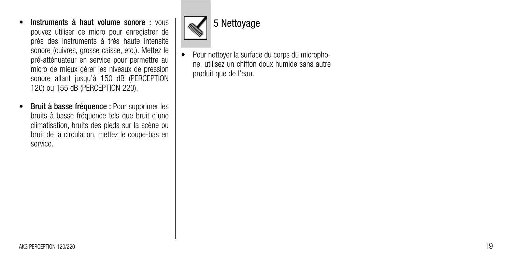- Instruments à haut volume sonore : vous pouvez utiliser ce micro pour enregistrer de près des instruments à très haute intensité sonore (cuivres, grosse caisse, etc.). Mettez le pré-atténuateur en service pour permettre au micro de mieux gérer les niveaux de pression sonore allant jusqu'à 150 dB (PERCEPTION 120) ou 155 dB (PERCEPTION 220).
- Bruit à basse fréquence : Pour supprimer les bruits à basse fréquence tels que bruit d'une climatisation, bruits des pieds sur la scène ou bruit de la circulation, mettez le coupe-bas en service.



• Pour nettoyer la surface du corps du microphone, utilisez un chiffon doux humide sans autre produit que de l'eau.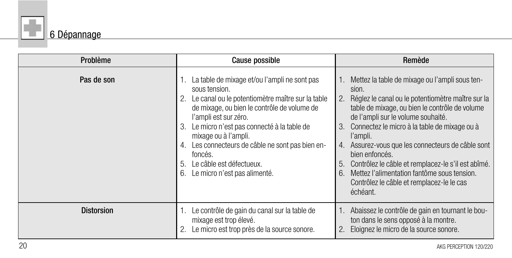

# 6 Dépannage

| Problème          | Cause possible                                                                                                                                                                                                                                                                                                                                                                                           | Remède                                                                                                                                                                                                                                                                                                                                                                                                                                                                                                                     |
|-------------------|----------------------------------------------------------------------------------------------------------------------------------------------------------------------------------------------------------------------------------------------------------------------------------------------------------------------------------------------------------------------------------------------------------|----------------------------------------------------------------------------------------------------------------------------------------------------------------------------------------------------------------------------------------------------------------------------------------------------------------------------------------------------------------------------------------------------------------------------------------------------------------------------------------------------------------------------|
| Pas de son        | 1. La table de mixage et/ou l'ampli ne sont pas<br>sous tension.<br>2. Le canal ou le potentiomètre maître sur la table<br>de mixage, ou bien le contrôle de volume de<br>l'ampli est sur zéro.<br>3. Le micro n'est pas connecté à la table de<br>mixage ou à l'ampli.<br>4. Les connecteurs de câble ne sont pas bien en-<br>foncés.<br>5. Le câble est défectueux.<br>6. Le micro n'est pas alimenté. | Mettez la table de mixage ou l'ampli sous ten-<br>sion.<br>2. Réglez le canal ou le potentiomètre maître sur la<br>table de mixage, ou bien le contrôle de volume<br>de l'ampli sur le volume souhaité.<br>Connectez le micro à la table de mixage ou à<br>3.<br>l'ampli.<br>4. Assurez-vous que les connecteurs de câble sont<br>bien enfoncés.<br>Contrôlez le câble et remplacez-le s'il est abîmé.<br>5.<br>Mettez l'alimentation fantôme sous tension.<br>6.<br>Contrôlez le câble et remplacez-le le cas<br>échéant. |
| <b>Distorsion</b> | 1. Le contrôle de gain du canal sur la table de<br>mixage est trop élevé.<br>2. Le micro est trop près de la source sonore.                                                                                                                                                                                                                                                                              | Abaissez le contrôle de gain en tournant le bou-<br>ton dans le sens opposé à la montre.<br>Eloignez le micro de la source sonore.                                                                                                                                                                                                                                                                                                                                                                                         |
| 20                |                                                                                                                                                                                                                                                                                                                                                                                                          | AKG PERCEPTION 120/220                                                                                                                                                                                                                                                                                                                                                                                                                                                                                                     |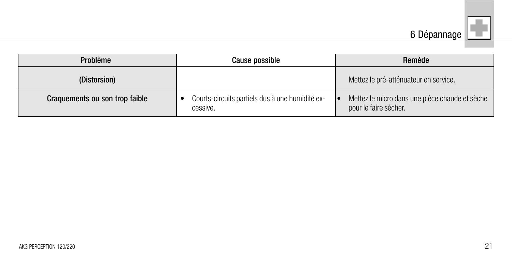

| Problème                       | Cause possible                                              | Remède                                                                        |
|--------------------------------|-------------------------------------------------------------|-------------------------------------------------------------------------------|
| (Distorsion)                   |                                                             | Mettez le pré-atténuateur en service.                                         |
| Craquements ou son trop faible | Courts-circuits partiels dus à une humidité ex-<br>cessive. | Mettez le micro dans une pièce chaude et sèche<br>ı٠<br>pour le faire sécher. |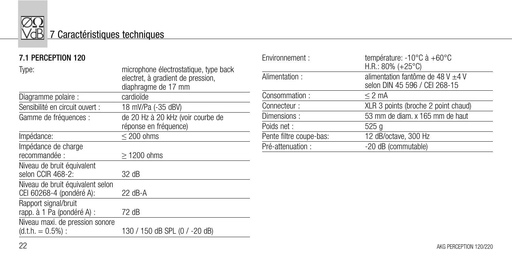

## 7.1 PERCEPTION 120

| Type:                                                        | microphone électrostatique, type back<br>electret, à gradient de pression,<br>diaphragme de 17 mm |
|--------------------------------------------------------------|---------------------------------------------------------------------------------------------------|
| Diagramme polaire :                                          | cardioïde                                                                                         |
| Sensibilité en circuit ouvert :                              | 18 mV/Pa (-35 dBV)                                                                                |
| Gamme de fréquences :                                        | de 20 Hz à 20 kHz (voir courbe de<br>réponse en fréquence)                                        |
| Impédance:                                                   | $<$ 200 ohms                                                                                      |
| Impédance de charge                                          |                                                                                                   |
| recommandée :                                                | $>1200$ ohms                                                                                      |
| Niveau de bruit équivalent<br>selon CCIR 468-2:              | 32 dB                                                                                             |
| Niveau de bruit équivalent selon<br>CEI 60268-4 (pondéré A): | $22$ dB-A                                                                                         |
| Rapport signal/bruit<br>rapp. à 1 Pa (pondéré A) :           | 72 dB                                                                                             |
| Niveau maxi. de pression sonore<br>$(d.t.h. = 0.5\%)$ :      | 130 / 150 dB SPL (0 / -20 dB)                                                                     |

| Environnement :         | température: -10 $\degree$ C à +60 $\degree$ C<br>$H.R.: 80\% (+25°C)$ |
|-------------------------|------------------------------------------------------------------------|
| Alimentation:           | alimentation fantôme de 48 V $+4$ V<br>selon DIN 45 596 / CEI 268-15   |
| Consommation:           | $< 2$ mA                                                               |
| Connecteur:             | XLR 3 points (broche 2 point chaud)                                    |
| Dimensions:             | 53 mm de diam. x 165 mm de haut                                        |
| Poids net:              | 525q                                                                   |
| Pente filtre coupe-bas: | 12 dB/octave, 300 Hz                                                   |
| Pré-attenuation :       | -20 dB (commutable)                                                    |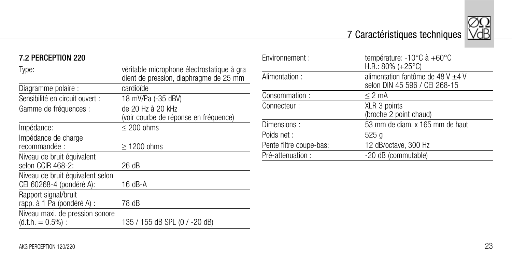# 7 Caractéristiques techniques



### 7.2 PERCEPTION 220

| Type:                            | véritable microphone électrostatique à gra |
|----------------------------------|--------------------------------------------|
|                                  | dient de pression, diaphragme de 25 mm     |
| Diagramme polaire :              | cardioïde                                  |
| Sensibilité en circuit ouvert :  | 18 mV/Pa (-35 dBV)                         |
| Gamme de fréquences :            | de 20 Hz à 20 kHz                          |
|                                  | (voir courbe de réponse en fréquence)      |
| Impédance:                       | $<$ 200 ohms                               |
| Impédance de charge              |                                            |
| recommandée :                    | $>1200$ ohms                               |
| Niveau de bruit équivalent       |                                            |
| selon CCIR 468-2:                | 26 dB                                      |
| Niveau de bruit équivalent selon |                                            |
| CEI 60268-4 (pondéré A):         | $16$ dB-A                                  |
| Rapport signal/bruit             |                                            |
| rapp. à 1 Pa (pondéré A) :       | 78 dB                                      |
| Niveau maxi. de pression sonore  |                                            |
| $(d.t.h. = 0.5\%)$ :             | 135 / 155 dB SPL (0 / -20 dB)              |

| Environnement :         | température: -10 $\degree$ C à +60 $\degree$ C<br>$H.R.: 80\% (+25°C)$ |
|-------------------------|------------------------------------------------------------------------|
| Alimentation:           | alimentation fantôme de 48 V $+4$ V<br>selon DIN 45 596 / CEI 268-15   |
| Consommation:           | $\leq$ 2 mA                                                            |
| Connecteur:             | XLR 3 points<br>(broche 2 point chaud)                                 |
| Dimensions:             | 53 mm de diam. x 165 mm de haut                                        |
| Poids net:              | 525q                                                                   |
| Pente filtre coupe-bas: | 12 dB/octave, 300 Hz                                                   |
| Pré-attenuation :       | -20 dB (commutable)                                                    |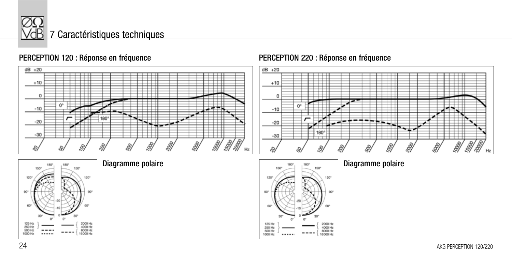

#### PERCEPTION 120 : Réponse en fréquence



#### PERCEPTION 220 : Réponse en fréquence





Diagramme polaire



#### Diagramme polaire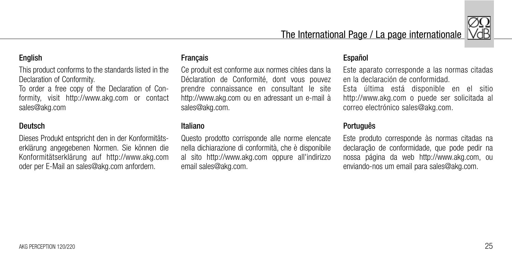

### The International Page / La page internationale

#### English

This product conforms to the standards listed in the Declaration of Conformity.

To order a free copy of the Declaration of Conformity, visit http://www.akg.com or contact sales@akg.com

#### Deutsch

Dieses Produkt entspricht den in der Konformitätserklärung angegebenen Normen. Sie können die Konformitätserklärung auf http://www.akg.com oder per E-Mail an sales@akg.com anfordern.

#### Français

Ce produit est conforme aux normes citées dans la Déclaration de Conformité, dont vous pouvez prendre connaissance en consultant le site http://www.akg.com ou en adressant un e-mail à sales@akg.com.

#### Italiano

Questo prodotto corrisponde alle norme elencate nella dichiarazione di conformità, che è disponibile al sito http://www.akg.com oppure all'indirizzo email sales@akg.com.

#### Español

Este aparato corresponde a las normas citadas en la declaración de conformidad.

Esta última está disponible en el sitio http://www.akg.com o puede ser solicitada al correo electrónico sales@akg.com.

#### Português

Este produto corresponde às normas citadas na declaração de conformidade, que pode pedir na nossa página da web http://www.akg.com, ou enviando-nos um email para sales@akg.com.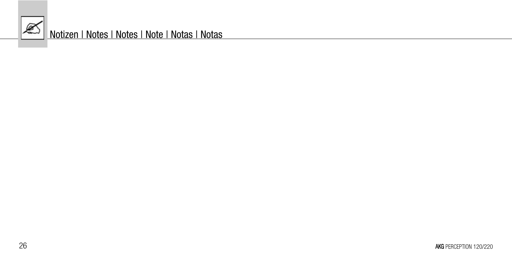

Notizen | Notes | Notes | Note | Notas | Notas

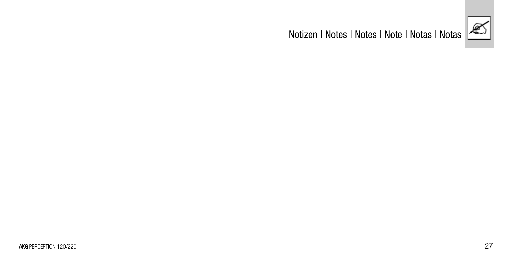